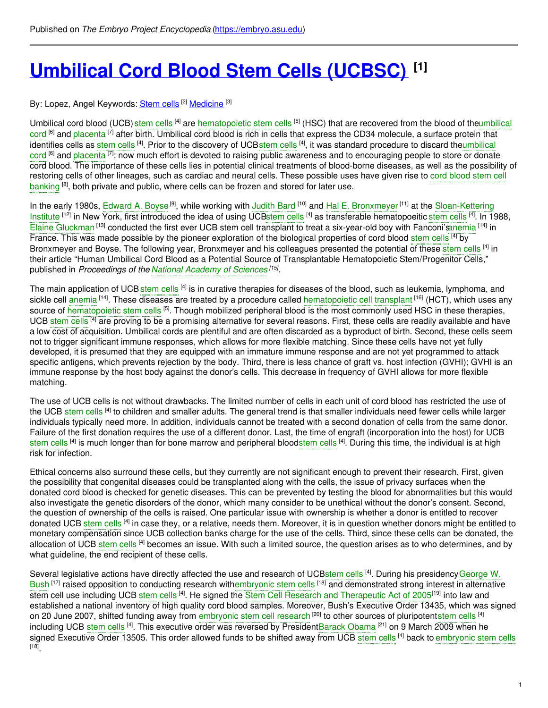# **[Umbilical](https://embryo.asu.edu/pages/umbilical-cord-blood-stem-cells-ucbsc) Cord Blood Stem Cells (UCBSC) [1]**

By: Lopez, Angel Keywords: <u>[Stem](https://embryo.asu.edu/keywords/stem-cells) cells</u> <sup>[2]</sup> <u>[Medicine](https://embryo.asu.edu/keywords/medicine)</u> [<sup>3]</sup>

Umbilical cord blood (UCB) [stem](https://embryo.asu.edu/search?text=stem%20cells) cells <sup>[4]</sup> are [hematopoietic](https://embryo.asu.edu/search?text=hematopoietic%20stem%20cells) stem cells <sup>[5]</sup> (HSC) that are recovered from the blood of theumbilical cord <sup>[6]</sup> and [placenta](https://embryo.asu.edu/search?text=placenta) <sup>[7]</sup> after birth. Umbilical cord blood is rich in cells that express the CD34 molecule, a surface protein that identifies cells as [stem](https://embryo.asu.edu/search?text=stem%20cells) cells <sup>[4]</sup>. Prior to the discovery of UCBstem cells <sup>[4]</sup>, it was standard procedure to discard theumbilical cord <sup>[6]</sup> and [placenta](https://embryo.asu.edu/search?text=placenta) <sup>[7]</sup>; now much effort is devoted to raising public awareness and to [encouraging](https://embryo.asu.edu/search?text=umbilical%20cord) people to store or donate cord blood. The importance of these cells lies in potential clinical treatments of blood-borne diseases, as well as the possibility of restoring cells of other [lineages,](https://embryo.asu.edu/search?text=cord%20blood%20stem%20cell%20banking) such as cardiac and neural cells. These possible uses have given rise to cord blood stem cell banking <sup>[8]</sup>, both private and public, where cells can be frozen and stored for later use.

In the early 1980s, [Edward](https://embryo.asu.edu/search?text=Edward%20A.%20Boyse) A. Boyse<sup>[9]</sup>, while working with [Judith](https://embryo.asu.edu/search?text=Judith%20Bard) Bard [10] and Hal E. [Bronxmeyer](https://embryo.asu.edu/search?text=Hal%20E.%20Bronxmeyer)<sup>[11]</sup> at the [Sloan-Kettering](https://embryo.asu.edu/search?text=Sloan-Kettering%20Institute) Institute <sup>[12]</sup> in New York, first introduced the idea of using UC[Bstem](https://embryo.asu.edu/search?text=stem%20cells) cells <sup>[4]</sup> as transferable hematopoeitic [stem](https://embryo.asu.edu/search?text=stem%20cells) cells <sup>[4]</sup>. In 1988, Elaine [Gluckman](https://embryo.asu.edu/search?text=Elaine%20Gluckman) <sup>[13]</sup> conducted the first ever UCB stem cell transplant to treat a six-year-old boy with Fanconi's anemia [14] in France. This was made possible by the pioneer exploration of the biological properties of cord blood [stem](https://embryo.asu.edu/search?text=stem%20cells) cells <sup>[4]</sup> by Bronxmeyer and Boyse. The following year, Bronxmeyer and his colleagues presented the potential of these [stem](https://embryo.asu.edu/search?text=stem%20cells) cells <sup>[4]</sup> in their article "Human Umbilical Cord Blood as a Potential Source of Transplantable Hematopoietic Stem/Progenitor Cells," published in *Proceedings of the National [Academy](https://embryo.asu.edu/search?text=National%20Academy%20of%20Sciences) of Sciences [15]* .

The main application of UCB [stem](https://embryo.asu.edu/search?text=stem%20cells) cells [4] is in curative therapies for diseases of the blood, such as leukemia, lymphoma, and sickle cell [anemia](https://embryo.asu.edu/search?text=anemia) <sup>[14]</sup>. These diseases are treated by a procedure called [hematopoietic](https://embryo.asu.edu/search?text=hematopoietic%20cell%20transplant) cell transplant <sup>[16]</sup> (HCT), which uses any source of [hematopoietic](https://embryo.asu.edu/search?text=hematopoietic%20stem%20cells) stem cells <sup>[5]</sup>. Though mobilized peripheral blood is the most commonly used HSC in these therapies, UCB [stem](https://embryo.asu.edu/search?text=stem%20cells) cells <sup>[4]</sup> are proving to be a promising alternative for several reasons. First, these cells are readily available and have a low cost of acquisition. Umbilical cords are plentiful and are often discarded as a byproduct of birth. Second, these cells seem not to trigger significant immune responses, which allows for more flexible matching. Since these cells have not yet fully developed, it is presumed that they are equipped with an immature immune response and are not yet programmed to attack specific antigens, which prevents rejection by the body. Third, there is less chance of graft vs. host infection (GVHI); GVHI is an immune response by the host body against the donor's cells. This decrease in frequency of GVHI allows for more flexible matching.

The use of UCB cells is not without drawbacks. The limited number of cells in each unit of cord blood has restricted the use of the UCB [stem](https://embryo.asu.edu/search?text=stem%20cells) cells <sup>[4]</sup> to children and smaller adults. The general trend is that smaller individuals need fewer cells while larger individuals typically need more. In addition, individuals cannot be treated with a second donation of cells from the same donor. Failure of the first donation requires the use of a different donor. Last, the time of engraft (incorporation into the host) for UCB [stem](https://embryo.asu.edu/search?text=stem%20cells) cells <sup>[4]</sup> is much longer than for bone marrow and peripheral bloodstem cells <sup>[4]</sup>. During this time, the individual is at high risk for infection.

Ethical concerns also surround these cells, but they currently are not significant enough to prevent their research. First, given the possibility that congenital diseases could be transplanted along with the cells, the issue of privacy surfaces when the donated cord blood is checked for genetic diseases. This can be prevented by testing the blood for abnormalities but this would also investigate the genetic disorders of the donor, which many consider to be unethical without the donor's consent. Second, the question of ownership of the cells is raised. One particular issue with ownership is whether a donor is entitled to recover donated UCB [stem](https://embryo.asu.edu/search?text=stem%20cells) cells <sup>[4]</sup> in case they, or a relative, needs them. Moreover, it is in question whether donors might be entitled to monetary compensation since UCB collection banks charge for the use of the cells. Third, since these cells can be donated, the allocation of UCB [stem](https://embryo.asu.edu/search?text=stem%20cells) cells <sup>[4]</sup> becomes an issue. With such a limited source, the question arises as to who determines, and by what guideline, the end recipient of these cells.

Several legislative actions have directly affected the use and research of UC[Bstem](https://embryo.asu.edu/search?text=stem%20cells) cells <sup>[4]</sup>. During his presidency George W. Bush <sup>[17]</sup> raised opposition to conducting research wit[hembryonic](https://embryo.asu.edu/search?text=embryonic%20stem%20cells) stem cells <sup>[18]</sup> and demonstrated strong interest in alternative [stem](https://embryo.asu.edu/search?text=stem%20cells) cell use including UCB stem cells <sup>[4]</sup>. He signed the Stem Cell Research and [Therapeutic](https://embryo.asu.edu/search?text=Stem%20Cell%20Research%20and%20Therapeutic%20Act%20of%202005) Act of 2005<sup>[19]</sup> into law and established a national inventory of high quality cord blood samples. Moreover, Bush's Executive Order 13435, which was signed on 20 June 2007, shifted funding away from [embryonic](https://embryo.asu.edu/search?text=embryonic%20stem%20cell%20research) [stem](https://embryo.asu.edu/search?text=stem%20cells) cell research <sup>[20]</sup> to other sources of pluripotentstem cells <sup>[4]</sup> including UCB [stem](https://embryo.asu.edu/search?text=stem%20cells) cells <sup>[4]</sup>. This executive order was reversed by President[Barack](https://embryo.asu.edu/search?text=Barack%20Obama) Obama <sup>[21]</sup> on 9 March 2009 when he signed Executive Order 13505. This order allowed funds to be shifted away from UCB [stem](https://embryo.asu.edu/search?text=stem%20cells) cells <sup>[4]</sup> back to [embryonic](https://embryo.asu.edu/search?text=embryonic%20stem%20cells) stem cells [18] .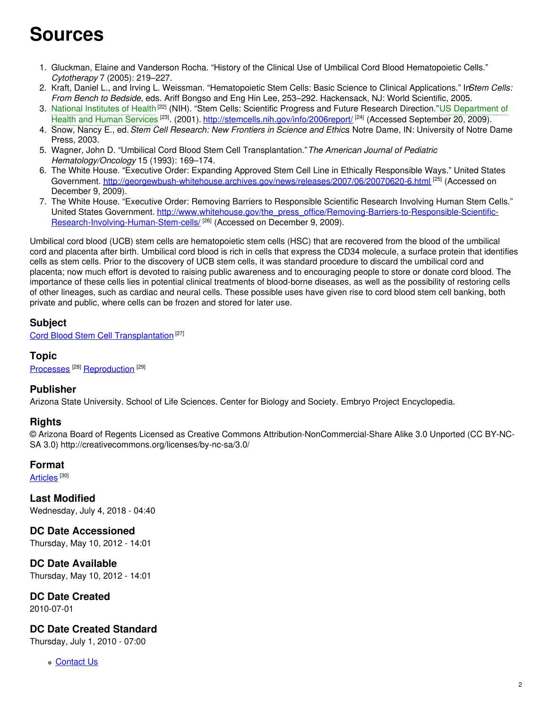## **Sources**

- 1. Gluckman, Elaine and Vanderson Rocha. "History of the Clinical Use of Umbilical Cord Blood Hematopoietic Cells." *Cytotherapy* 7 (2005): 219–227.
- 2. Kraft, Daniel L., and Irving L. Weissman. "Hematopoietic Stem Cells: Basic Science to Clinical Applications." In*Stem Cells: From Bench to Bedside*, eds. Ariff Bongso and Eng Hin Lee, 253–292. Hackensack, NJ: World Scientific, 2005.
- 3. National [Institutes](https://embryo.asu.edu/search?text=National%20Institutes%20of%20Health) of Health<sup>[22]</sup> (NIH). "Stem Cells: Scientific Progress and Future Research Direction."US Department of Health and Human Services <sup>[23]</sup>. (2001). [http://stemcells.nih.gov/info/2006report/](https://embryo.asu.edu/search?text=US%20Department%20of%20Health%20and%20Human%20Services) <sup>[24]</sup> (Accessed September 20, 2009).
- 4. Snow, Nancy E., ed.*Stem Cell Research: New Frontiers in Science and Ethics*. Notre Dame, IN: University of Notre Dame Press, 2003.
- 5. Wagner, John D. "Umbilical Cord Blood Stem Cell Transplantation."*The American Journal of Pediatric Hematology/Oncology* 15 (1993): 169–174.
- 6. The White House. "Executive Order: Expanding Approved Stem Cell Line in Ethically Responsible Ways." United States Government. <http://georgewbush-whitehouse.archives.gov/news/releases/2007/06/20070620-6.html> <sup>[25]</sup> (Accessed on December 9, 2009).
- 7. The White House. "Executive Order: Removing Barriers to Responsible Scientific Research Involving Human Stem Cells." United States Government. [http://www.whitehouse.gov/the\\_press\\_office/Removing-Barriers-to-Responsible-Scientific-](http://www.whitehouse.gov/the_press_office/Removing-Barriers-to-Responsible-Scientific-Research-Involving-Human-Stem-cells/)Research-Involving-Human-Stem-cells/<sup>[26]</sup> (Accessed on December 9, 2009).

Umbilical cord blood (UCB) stem cells are hematopoietic stem cells (HSC) that are recovered from the blood of the umbilical cord and placenta after birth. Umbilical cord blood is rich in cells that express the CD34 molecule, a surface protein that identifies cells as stem cells. Prior to the discovery of UCB stem cells, it was standard procedure to discard the umbilical cord and placenta; now much effort is devoted to raising public awareness and to encouraging people to store or donate cord blood. The importance of these cells lies in potential clinical treatments of blood-borne diseases, as well as the possibility of restoring cells of other lineages, such as cardiac and neural cells. These possible uses have given rise to cord blood stem cell banking, both private and public, where cells can be frozen and stored for later use.

## **Subject**

Cord Blood Stem Cell [Transplantation](https://embryo.asu.edu/medical-subject-headings/cord-blood-stem-cell-transplantation)<sup>[27]</sup>

### **Topic**

[Processes](https://embryo.asu.edu/topics/processes)<sup>[28]</sup> [Reproduction](https://embryo.asu.edu/topics/reproduction)<sup>[29]</sup>

## **Publisher**

Arizona State University. School of Life Sciences. Center for Biology and Society. Embryo Project Encyclopedia.

#### **Rights**

© Arizona Board of Regents Licensed as Creative Commons Attribution-NonCommercial-Share Alike 3.0 Unported (CC BY-NC-SA 3.0) http://creativecommons.org/licenses/by-nc-sa/3.0/

#### **Format**

<u>[Articles](https://embryo.asu.edu/formats/articles)</u>  $^{[30]}$ 

**Last Modified** Wednesday, July 4, 2018 - 04:40

**DC Date Accessioned** Thursday, May 10, 2012 - 14:01

**DC Date Available** Thursday, May 10, 2012 - 14:01

**DC Date Created**

2010-07-01

## **DC Date Created Standard**

Thursday, July 1, 2010 - 07:00

**c** [Contact](https://embryo.asu.edu/contact) Us